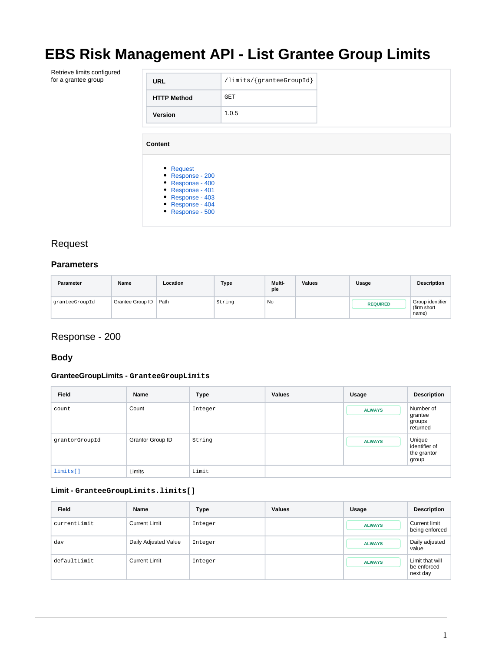# **EBS Risk Management API - List Grantee Group Limits**

Retrieve limits configured

| Retrieve limits configured |                                                                                         |                                   |  |
|----------------------------|-----------------------------------------------------------------------------------------|-----------------------------------|--|
| for a grantee group        | <b>URL</b>                                                                              | $\langle$ limits/{granteeGroupId} |  |
|                            | <b>HTTP Method</b>                                                                      | <b>GET</b>                        |  |
|                            | Version                                                                                 | 1.0.5                             |  |
|                            | <b>Content</b><br>• Request<br>• Response - 200<br>• Response - 400<br>• Response - 401 |                                   |  |
|                            | • Response - 403<br>• Response - 404<br>• Response - 500                                |                                   |  |

### <span id="page-0-0"></span>Request

#### **Parameters**

| <b>Parameter</b> | Name             | Location | <b>Type</b> | Multi-<br>ple | <b>Values</b> | Usage           | <b>Description</b>                       |
|------------------|------------------|----------|-------------|---------------|---------------|-----------------|------------------------------------------|
| qranteeGroupId   | Grantee Group ID | Path     | String      | <b>No</b>     |               | <b>REQUIRED</b> | Group identifier<br>(firm short<br>name) |

### <span id="page-0-1"></span>Response - 200

#### **Body**

#### **GranteeGroupLimits - GranteeGroupLimits**

| Field          | Name             | <b>Type</b> | <b>Values</b> | Usage         | <b>Description</b>                              |
|----------------|------------------|-------------|---------------|---------------|-------------------------------------------------|
| count          | Count            | Integer     |               | <b>ALWAYS</b> | Number of<br>grantee<br>groups<br>returned      |
| grantorGroupId | Grantor Group ID | String      |               | <b>ALWAYS</b> | Unique<br>identifier of<br>the grantor<br>group |
| limits[]       | Limits           | Limit       |               |               |                                                 |

#### <span id="page-0-2"></span>**Limit - GranteeGroupLimits.limits[]**

| <b>Field</b> | <b>Name</b>          | <b>Type</b> | <b>Values</b> | Usage         | <b>Description</b>                         |
|--------------|----------------------|-------------|---------------|---------------|--------------------------------------------|
| currentLimit | <b>Current Limit</b> | Integer     |               | <b>ALWAYS</b> | <b>Current limit</b><br>being enforced     |
| dav          | Daily Adjusted Value | Integer     |               | <b>ALWAYS</b> | Daily adjusted<br>value                    |
| defaultLimit | <b>Current Limit</b> | Integer     |               | <b>ALWAYS</b> | Limit that will<br>be enforced<br>next day |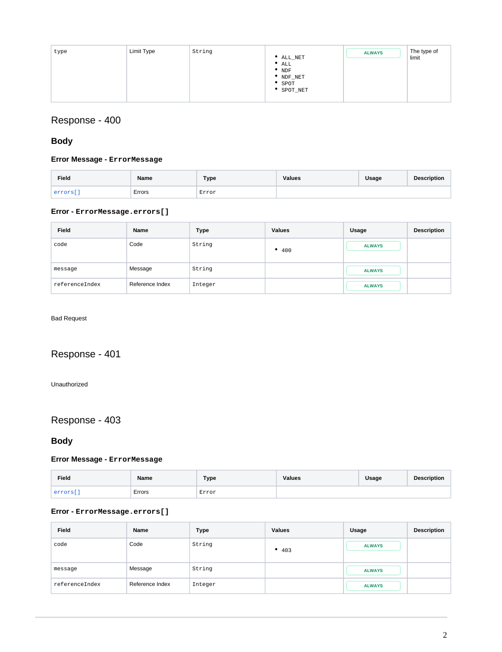| type | Limit Type | String | ALL_NET<br>$^{\bullet}$ ALL<br>$^{\bullet}$ NDF | <b>ALWAYS</b> | The type of<br>limit |
|------|------------|--------|-------------------------------------------------|---------------|----------------------|
|      |            |        | * NDF_NET<br>SPOT<br>SPOT_NET                   |               |                      |

## <span id="page-1-0"></span>Response - 400

### **Body**

#### **Error Message - ErrorMessage**

| Field  | <b>Name</b> | Type  | <b>Values</b> | Usage | <b>Description</b> |
|--------|-------------|-------|---------------|-------|--------------------|
| errors | Errors      | Error |               |       |                    |

#### <span id="page-1-3"></span>**Error - ErrorMessage.errors[]**

| <b>Field</b>   | Name            | <b>Type</b> | <b>Values</b>    | Usage         | <b>Description</b> |
|----------------|-----------------|-------------|------------------|---------------|--------------------|
| code           | Code            | String      | $^{\bullet}$ 400 | <b>ALWAYS</b> |                    |
| message        | Message         | String      |                  | <b>ALWAYS</b> |                    |
| referenceIndex | Reference Index | Integer     |                  | <b>ALWAYS</b> |                    |

#### Bad Request

### <span id="page-1-1"></span>Response - 401

Unauthorized

# <span id="page-1-2"></span>Response - 403

### **Body**

#### **Error Message - ErrorMessage**

| Field                    | Name   | <b>Type</b> | <b>Values</b> | Usage | <b>Description</b> |
|--------------------------|--------|-------------|---------------|-------|--------------------|
| arrors<br><b>CITATIO</b> | Errors | Error       |               |       |                    |

#### <span id="page-1-4"></span>**Error - ErrorMessage.errors[]**

| Field          | Name            | <b>Type</b> | <b>Values</b> | Usage         | <b>Description</b> |
|----------------|-----------------|-------------|---------------|---------------|--------------------|
| code           | Code            | String      | • $403$       | <b>ALWAYS</b> |                    |
| message        | Message         | String      |               | <b>ALWAYS</b> |                    |
| referenceIndex | Reference Index | Integer     |               | <b>ALWAYS</b> |                    |